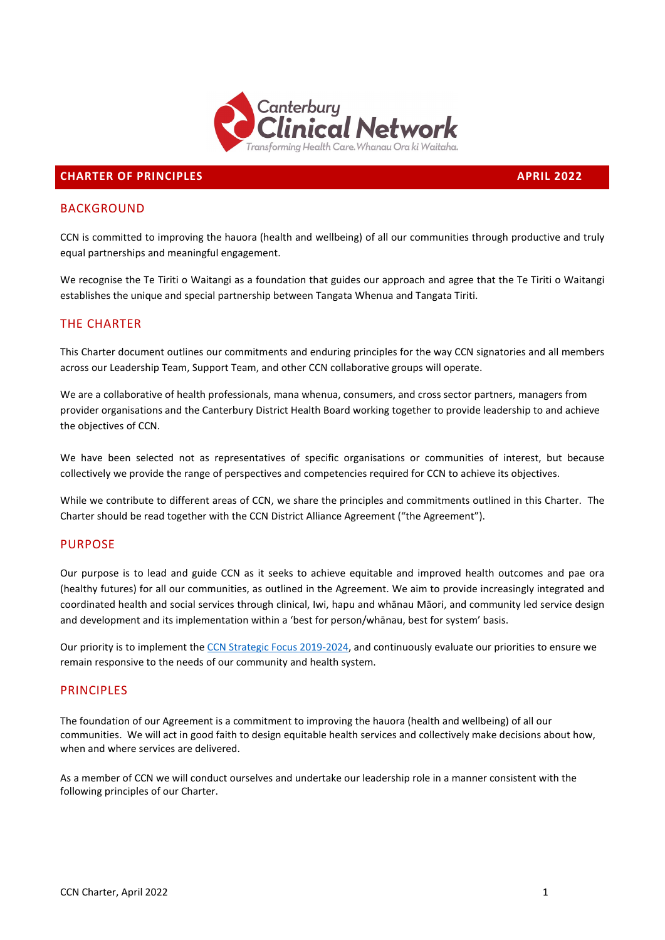

### **CHARTER OF PRINCIPLES APRIL 2022**

### **BACKGROUND**

CCN is committed to improving the hauora (health and wellbeing) of all our communities through productive and truly equal partnerships and meaningful engagement.

We recognise the Te Tiriti o Waitangi as a foundation that guides our approach and agree that the Te Tiriti o Waitangi establishes the unique and special partnership between Tangata Whenua and Tangata Tiriti.

# THE CHARTER

This Charter document outlines our commitments and enduring principles for the way CCN signatories and all members across our Leadership Team, Support Team, and other CCN collaborative groups will operate.

We are a collaborative of health professionals, mana whenua, consumers, and cross sector partners, managers from provider organisations and the Canterbury District Health Board working together to provide leadership to and achieve the objectives of CCN.

We have been selected not as representatives of specific organisations or communities of interest, but because collectively we provide the range of perspectives and competencies required for CCN to achieve its objectives.

While we contribute to different areas of CCN, we share the principles and commitments outlined in this Charter. The Charter should be read together with the CCN District Alliance Agreement ("the Agreement").

# PURPOSE

Our purpose is to lead and guide CCN as it seeks to achieve equitable and improved health outcomes and pae ora (healthy futures) for all our communities, as outlined in the Agreement. We aim to provide increasingly integrated and coordinated health and social services through clinical, Iwi, hapu and whānau Māori, and community led service design and development and its implementation within a 'best for person/whānau, best for system' basis.

Our priority is to implement th[e CCN Strategic Focus](https://ccn.health.nz/DesktopModules/Bring2mind/DMX/API/Entries/Download?Command=Core_Download&EntryId=5834&language=en-GB&PortalId=18&TabId=2444) 2019-2024, and continuously evaluate our priorities to ensure we remain responsive to the needs of our community and health system.

### **PRINCIPLES**

The foundation of our Agreement is a commitment to improving the hauora (health and wellbeing) of all our communities. We will act in good faith to design equitable health services and collectively make decisions about how, when and where services are delivered.

As a member of CCN we will conduct ourselves and undertake our leadership role in a manner consistent with the following principles of our Charter.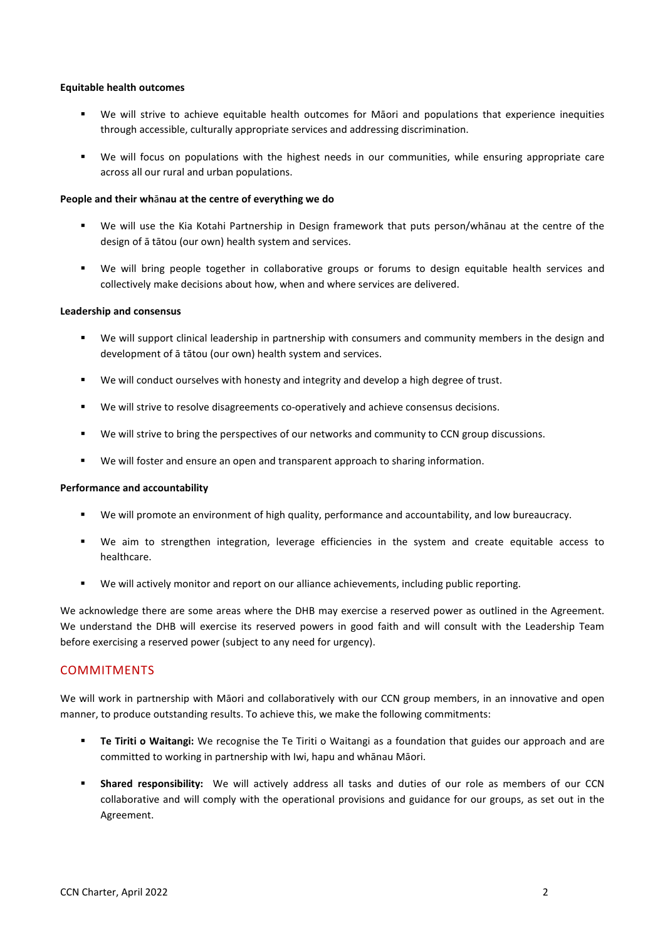### **Equitable health outcomes**

- We will strive to achieve equitable health outcomes for Māori and populations that experience inequities through accessible, culturally appropriate services and addressing discrimination.
- We will focus on populations with the highest needs in our communities, while ensuring appropriate care across all our rural and urban populations.

### **People and their wh**ā**nau at the centre of everything we do**

- We will use the Kia Kotahi Partnership in Design framework that puts person/whānau at the centre of the design of ā tātou (our own) health system and services.
- We will bring people together in collaborative groups or forums to design equitable health services and collectively make decisions about how, when and where services are delivered.

#### **Leadership and consensus**

- We will support clinical leadership in partnership with consumers and community members in the design and development of ā tātou (our own) health system and services.
- We will conduct ourselves with honesty and integrity and develop a high degree of trust.
- We will strive to resolve disagreements co-operatively and achieve consensus decisions.
- We will strive to bring the perspectives of our networks and community to CCN group discussions.
- We will foster and ensure an open and transparent approach to sharing information.

### **Performance and accountability**

- We will promote an environment of high quality, performance and accountability, and low bureaucracy.
- We aim to strengthen integration, leverage efficiencies in the system and create equitable access to healthcare.
- We will actively monitor and report on our alliance achievements, including public reporting.

We acknowledge there are some areas where the DHB may exercise a reserved power as outlined in the Agreement. We understand the DHB will exercise its reserved powers in good faith and will consult with the Leadership Team before exercising a reserved power (subject to any need for urgency).

### COMMITMENTS

We will work in partnership with Māori and collaboratively with our CCN group members, in an innovative and open manner, to produce outstanding results. To achieve this, we make the following commitments:

- **Te Tiriti o Waitangi:** We recognise the Te Tiriti o Waitangi as a foundation that guides our approach and are committed to working in partnership with Iwi, hapu and whānau Māori.
- **Shared responsibility:** We will actively address all tasks and duties of our role as members of our CCN collaborative and will comply with the operational provisions and guidance for our groups, as set out in the Agreement.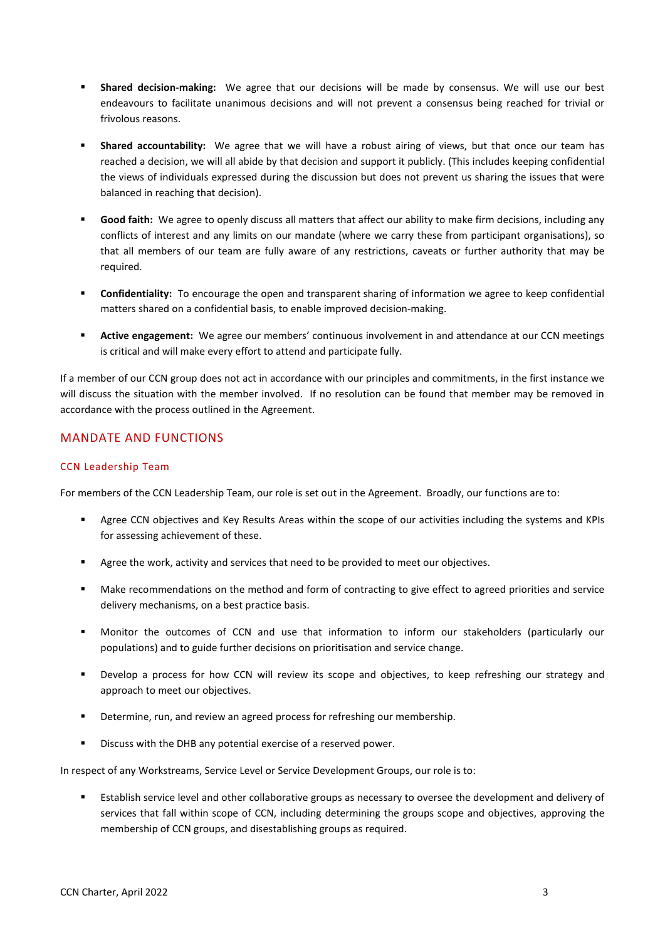- **Shared decision-making:** We agree that our decisions will be made by consensus. We will use our best endeavours to facilitate unanimous decisions and will not prevent a consensus being reached for trivial or frivolous reasons.
- **Shared accountability:** We agree that we will have a robust airing of views, but that once our team has reached a decision, we will all abide by that decision and support it publicly. (This includes keeping confidential the views of individuals expressed during the discussion but does not prevent us sharing the issues that were balanced in reaching that decision).
- **Good faith:** We agree to openly discuss all matters that affect our ability to make firm decisions, including any conflicts of interest and any limits on our mandate (where we carry these from participant organisations), so that all members of our team are fully aware of any restrictions, caveats or further authority that may be required.
- **Confidentiality:** To encourage the open and transparent sharing of information we agree to keep confidential matters shared on a confidential basis, to enable improved decision-making.
- **Active engagement:** We agree our members' continuous involvement in and attendance at our CCN meetings is critical and will make every effort to attend and participate fully.

If a member of our CCN group does not act in accordance with our principles and commitments, in the first instance we will discuss the situation with the member involved. If no resolution can be found that member may be removed in accordance with the process outlined in the Agreement.

# MANDATE AND FUNCTIONS

# CCN Leadership Team

For members of the CCN Leadership Team, our role is set out in the Agreement. Broadly, our functions are to:

- Agree CCN objectives and Key Results Areas within the scope of our activities including the systems and KPIs for assessing achievement of these.
- **Agree the work, activity and services that need to be provided to meet our objectives.**
- **Make recommendations on the method and form of contracting to give effect to agreed priorities and service** delivery mechanisms, on a best practice basis.
- Monitor the outcomes of CCN and use that information to inform our stakeholders (particularly our populations) and to guide further decisions on prioritisation and service change.
- Develop a process for how CCN will review its scope and objectives, to keep refreshing our strategy and approach to meet our objectives.
- Determine, run, and review an agreed process for refreshing our membership.
- Discuss with the DHB any potential exercise of a reserved power.

In respect of any Workstreams, Service Level or Service Development Groups, our role is to:

 Establish service level and other collaborative groups as necessary to oversee the development and delivery of services that fall within scope of CCN, including determining the groups scope and objectives, approving the membership of CCN groups, and disestablishing groups as required.